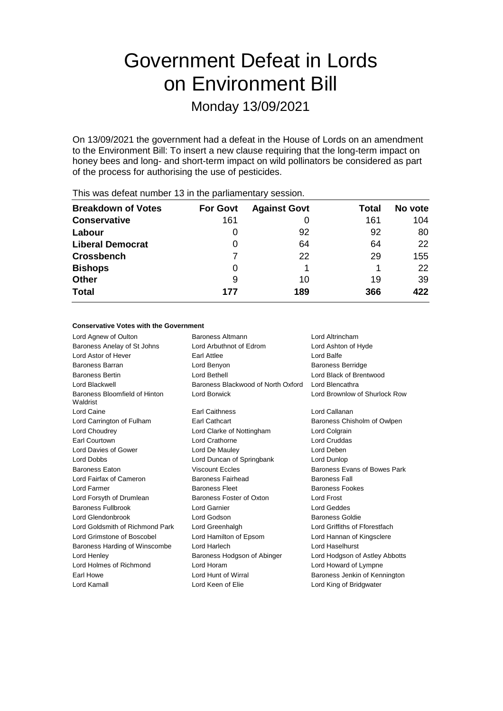# Government Defeat in Lords on Environment Bill

Monday 13/09/2021

On 13/09/2021 the government had a defeat in the House of Lords on an amendment to the Environment Bill: To insert a new clause requiring that the long-term impact on honey bees and long- and short-term impact on wild pollinators be considered as part of the process for authorising the use of pesticides.

| <b>Breakdown of Votes</b> | <b>For Govt</b> | <b>Against Govt</b> | Total | No vote |
|---------------------------|-----------------|---------------------|-------|---------|
| <b>Conservative</b>       | 161             |                     | 161   | 104     |
| Labour                    | 0               | 92                  | 92    | 80      |
| <b>Liberal Democrat</b>   | 0               | 64                  | 64    | 22      |
| <b>Crossbench</b>         |                 | 22                  | 29    | 155     |
| <b>Bishops</b>            | 0               |                     |       | 22      |
| <b>Other</b>              | 9               | 10                  | 19    | 39      |
| <b>Total</b>              | 177             | 189                 | 366   | 422     |
|                           |                 |                     |       |         |

This was defeat number 13 in the parliamentary session.

### **Conservative Votes with the Government**

| Lord Agnew of Oulton                      | Baroness Altmann                   | Lord Altrincham                |
|-------------------------------------------|------------------------------------|--------------------------------|
| Baroness Anelay of St Johns               | Lord Arbuthnot of Edrom            | Lord Ashton of Hyde            |
| Lord Astor of Hever                       | <b>Earl Attlee</b>                 | Lord Balfe                     |
| Baroness Barran                           | Lord Benyon                        | <b>Baroness Berridge</b>       |
| <b>Baroness Bertin</b>                    | Lord Bethell                       | Lord Black of Brentwood        |
| Lord Blackwell                            | Baroness Blackwood of North Oxford | Lord Blencathra                |
| Baroness Bloomfield of Hinton<br>Waldrist | Lord Borwick                       | Lord Brownlow of Shurlock Row  |
| Lord Caine                                | <b>Earl Caithness</b>              | Lord Callanan                  |
| Lord Carrington of Fulham                 | <b>Earl Cathcart</b>               | Baroness Chisholm of Owlpen    |
| Lord Choudrey                             | Lord Clarke of Nottingham          | Lord Colgrain                  |
| <b>Earl Courtown</b>                      | Lord Crathorne                     | <b>Lord Cruddas</b>            |
| Lord Davies of Gower                      | Lord De Mauley                     | Lord Deben                     |
| Lord Dobbs                                | Lord Duncan of Springbank          | Lord Dunlop                    |
| <b>Baroness Eaton</b>                     | <b>Viscount Eccles</b>             | Baroness Evans of Bowes Park   |
| Lord Fairfax of Cameron                   | Baroness Fairhead                  | <b>Baroness Fall</b>           |
| Lord Farmer                               | <b>Baroness Fleet</b>              | <b>Baroness Fookes</b>         |
| Lord Forsyth of Drumlean                  | Baroness Foster of Oxton           | <b>Lord Frost</b>              |
| <b>Baroness Fullbrook</b>                 | Lord Garnier                       | <b>Lord Geddes</b>             |
| Lord Glendonbrook                         | Lord Godson                        | Baroness Goldie                |
| Lord Goldsmith of Richmond Park           | Lord Greenhalgh                    | Lord Griffiths of Fforestfach  |
| Lord Grimstone of Boscobel                | Lord Hamilton of Epsom             | Lord Hannan of Kingsclere      |
| Baroness Harding of Winscombe             | Lord Harlech                       | Lord Haselhurst                |
| Lord Henley                               | Baroness Hodgson of Abinger        | Lord Hodgson of Astley Abbotts |
| Lord Holmes of Richmond                   | Lord Horam                         | Lord Howard of Lympne          |
| Earl Howe                                 | Lord Hunt of Wirral                | Baroness Jenkin of Kennington  |
| Lord Kamall                               | Lord Keen of Elie                  | Lord King of Bridgwater        |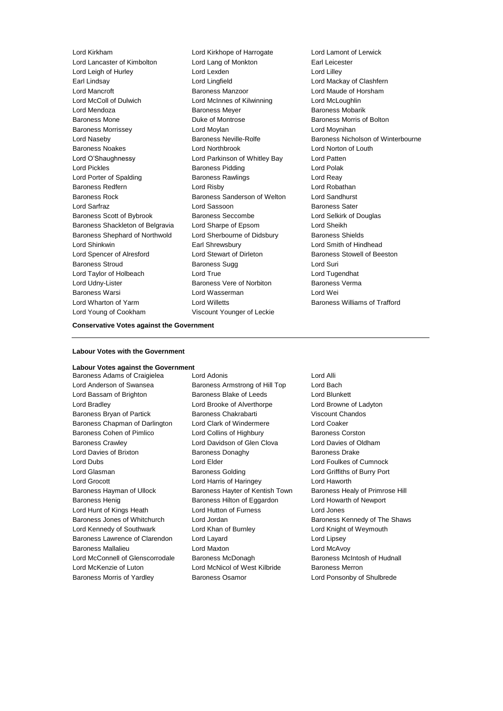Lord Lancaster of Kimbolton Lord Lang of Monkton Earl Leicester Lord Leigh of Hurley Lord Lexden Lord Lilley Earl Lindsay Lord Lingfield Lord Mackay of Clashfern Lord Mancroft Baroness Manzoor Lord Maude of Horsham Lord McColl of Dulwich Lord McInnes of Kilwinning Lord McLoughlin Lord Mendoza **Baroness Meyer** Baroness Meyer Baroness Mobarik Baroness Mone **Duke of Montrose Baroness Morris of Bolton** Baroness Morrissey Lord Moylan Lord Moynihan Baroness Noakes Lord Northbrook Lord Norton of Louth Lord O'Shaughnessy Lord Parkinson of Whitley Bay Lord Patten Lord Pickles **Baroness Pidding Lord Polak** Lord Polak Lord Porter of Spalding **Baroness Rawlings** Lord Reay Baroness Redfern Lord Risby Lord Robathan Baroness Rock Baroness Sanderson of Welton Lord Sandhurst Lord Sarfraz **Lord Sassoon** Baroness Sater Baroness Scott of Bybrook Baroness Seccombe Lord Selkirk of Douglas Baroness Shackleton of Belgravia Lord Sharpe of Epsom Lord Sheikh Baroness Shephard of Northwold Lord Sherbourne of Didsbury Baroness Shields Lord Shinkwin Earl Shrewsbury Lord Smith of Hindhead Lord Spencer of Alresford Lord Stewart of Dirleton Baroness Stowell of Beeston Baroness Stroud **Baroness Sugg Community** Baroness Sugg Lord Suri Lord Taylor of Holbeach Lord True Lord Tugendhat Lord Udny-Lister **Baroness Vere of Norbiton** Baroness Verma Baroness Warsi Lord Wasserman Lord Wei Lord Wharton of Yarm **Lord Willetts Baroness Williams of Trafford Lord Willetts Baroness Williams of Trafford** Lord Young of Cookham Viscount Younger of Leckie

Lord Kirkham Lord Kirkhope of Harrogate Lord Lamont of Lerwick

Lord Naseby **Baroness Neville-Rolfe** Baroness Network Baroness Nicholson of Winterbourne

#### **Conservative Votes against the Government**

# **Labour Votes with the Government**

### **Labour Votes against the Government**

Lord Anderson of Swansea **Baroness Armstrong of Hill Top** Lord Bach Lord Bassam of Brighton **Baroness Blake of Leeds** Lord Blunkett Lord Bradley Lord Brooke of Alverthorpe Lord Browne of Ladyton Baroness Bryan of Partick Baroness Chakrabarti Viscount Chandos Baroness Chapman of Darlington Lord Clark of Windermere Lord Coaker Baroness Cohen of Pimlico **Lord Collins of Highbury** Baroness Corston Baroness Crawley Lord Davidson of Glen Clova Lord Davies of Oldham Lord Davies of Brixton Baroness Donaghy Baroness Drake Lord Dubs Lord Elder Lord Foulkes of Cumnock Lord Glasman Baroness Golding Lord Griffiths of Burry Port Lord Grocott Lord Harris of Haringey Lord Haworth Baroness Hayman of Ullock Baroness Hayter of Kentish Town Baroness Healy of Primrose Hill Baroness Henig **Baroness Hilton of Eggardon** Lord Howarth of Newport Lord Hunt of Kings Heath Lord Hutton of Furness Lord Jones Baroness Jones of Whitchurch Lord Jordan Baroness Kennedy of The Shaws Lord Kennedy of Southwark Lord Khan of Burnley Lord Knight of Weymouth Baroness Lawrence of Clarendon Lord Layard Lord Lipsey Baroness Mallalieu Lord Maxton Lord McAvoy Lord McConnell of Glenscorrodale Baroness McDonagh Baroness McIntosh of Hudnall Lord McKenzie of Luton Lord McNicol of West Kilbride Baroness Merron Baroness Morris of Yardley Baroness Osamor Lord Ponsonby of Shulbrede

Baroness Adams of Craigielea Lord Adonis Lord Annual Lord Alli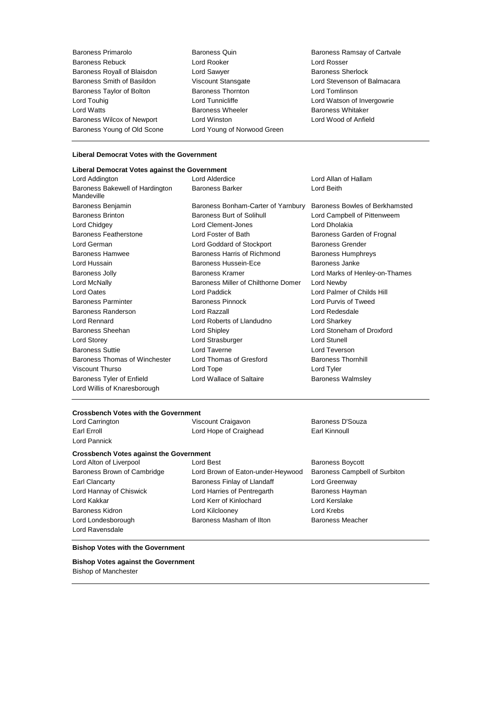Baroness Primarolo Baroness Quin Baroness Ramsay of Cartvale Baroness Rebuck Lord Rooker Lord Rosser Baroness Royall of Blaisdon **Lord Sawyer** Communication Baroness Sherlock<br>
Baroness Smith of Basildon **Baroness** Viscount Stansgate **Baroness Sherlock** Lord Stevenson of Balmacara Baroness Smith of Basildon Baroness Taylor of Bolton **Baroness Thornton** Baroness Thornton **Lord Tomlinson** Lord Touhig **Lord Tunnicliffe** Lord Tunnicliffe Lord Watson of Invergowrie Lord Watts **Baroness Wheeler** Baroness Wheeler **Baroness Whitaker** Baroness Wilcox of Newport Lord Winston Lord Wood of Anfield Baroness Young of Old Scone Lord Young of Norwood Green

## **Liberal Democrat Votes with the Government**

| Liberal Democrat Votes against the Government |                                     |                                |
|-----------------------------------------------|-------------------------------------|--------------------------------|
| Lord Addington                                | Lord Alderdice                      | Lord Allan of Hallam           |
| Baroness Bakewell of Hardington<br>Mandeville | <b>Baroness Barker</b>              | Lord Beith                     |
| Baroness Benjamin                             | Baroness Bonham-Carter of Yarnbury  | Baroness Bowles of Berkhamsted |
| <b>Baroness Brinton</b>                       | Baroness Burt of Solihull           | Lord Campbell of Pittenweem    |
| Lord Chidgey                                  | Lord Clement-Jones                  | Lord Dholakia                  |
| Baroness Featherstone                         | Lord Foster of Bath                 | Baroness Garden of Frognal     |
| Lord German                                   | Lord Goddard of Stockport           | <b>Baroness Grender</b>        |
| <b>Baroness Hamwee</b>                        | Baroness Harris of Richmond         | <b>Baroness Humphreys</b>      |
| Lord Hussain                                  | Baroness Hussein-Ece                | Baroness Janke                 |
| <b>Baroness Jolly</b>                         | Baroness Kramer                     | Lord Marks of Henley-on-Thames |
| Lord McNally                                  | Baroness Miller of Chilthorne Domer | Lord Newby                     |
| <b>Lord Oates</b>                             | Lord Paddick                        | Lord Palmer of Childs Hill     |
| <b>Baroness Parminter</b>                     | <b>Baroness Pinnock</b>             | Lord Purvis of Tweed           |
| Baroness Randerson                            | Lord Razzall                        | Lord Redesdale                 |
| Lord Rennard                                  | Lord Roberts of Llandudno           | Lord Sharkey                   |
| Baroness Sheehan                              | Lord Shipley                        | Lord Stoneham of Droxford      |
| Lord Storey                                   | Lord Strasburger                    | <b>Lord Stunell</b>            |
| <b>Baroness Suttie</b>                        | Lord Taverne                        | Lord Teverson                  |
| Baroness Thomas of Winchester                 | Lord Thomas of Gresford             | <b>Baroness Thornhill</b>      |
| Viscount Thurso                               | Lord Tope                           | Lord Tyler                     |
| Baroness Tyler of Enfield                     | Lord Wallace of Saltaire            | <b>Baroness Walmsley</b>       |
| Lord Willis of Knaresborough                  |                                     |                                |

## **Crossbench Votes with the Government**

Lord Carrington **Carrington** Viscount Craigavon **Baroness D'Souza** Earl Erroll **Example 20** Earl Kinnoull Lord Hope of Craighead **Earl Kinnoull** 

**Crossbench Votes against the Government**

Lord Hannay of Chiswick **Lord Harries of Pentregarth** Baroness Hayman Lord Kakkar Lord Kerr of Kinlochard Lord Kerslake Baroness Kidron Lord Kilclooney Lord Krebs Lord Londesborough **Baroness Masham of Ilton** Baroness Meacher Lord Ravensdale

Lord Pannick

Lord Alton of Liverpool Lord Best **Example 20** Lord Best **Baroness Boycott** Baroness Brown of Cambridge Lord Brown of Eaton-under-Heywood Baroness Campbell of Surbiton Earl Clancarty **Baroness Finlay of Llandaff** Lord Greenway

#### **Bishop Votes with the Government**

**Bishop Votes against the Government** Bishop of Manchester